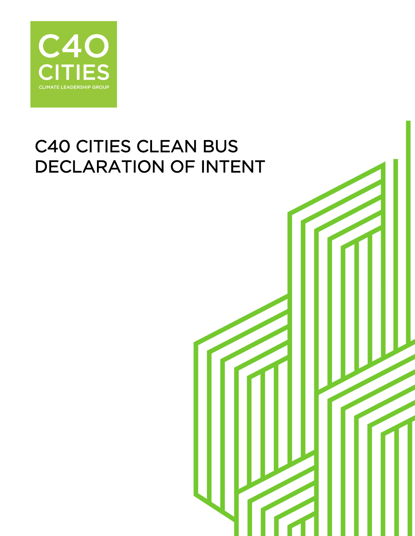

# C40 CITIES CLEAN BUS DECLARATION OF INTENT

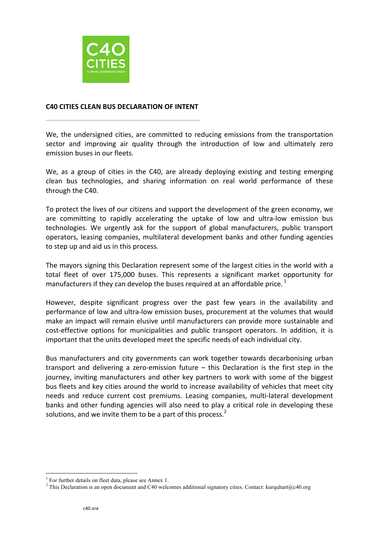

#### **C40 CITIES CLEAN BUS DECLARATION OF INTENT**

We, the undersigned cities, are committed to reducing emissions from the transportation sector and improving air quality through the introduction of low and ultimately zero emission buses in our fleets.

We, as a group of cities in the C40, are already deploying existing and testing emerging clean bus technologies, and sharing information on real world performance of these through the C40.

To protect the lives of our citizens and support the development of the green economy, we are committing to rapidly accelerating the uptake of low and ultra-low emission bus technologies. We urgently ask for the support of global manufacturers, public transport operators, leasing companies, multilateral development banks and other funding agencies to step up and aid us in this process.

The mayors signing this Declaration represent some of the largest cities in the world with a total fleet of over 175,000 buses. This represents a significant market opportunity for manufacturers if they can develop the buses required at an affordable price.<sup>1</sup>

However, despite significant progress over the past few years in the availability and performance of low and ultra-low emission buses, procurement at the volumes that would make an impact will remain elusive until manufacturers can provide more sustainable and cost-effective options for municipalities and public transport operators. In addition, it is important that the units developed meet the specific needs of each individual city.

Bus manufacturers and city governments can work together towards decarbonising urban transport and delivering a zero-emission future  $-$  this Declaration is the first step in the journey, inviting manufacturers and other key partners to work with some of the biggest bus fleets and key cities around the world to increase availability of vehicles that meet city needs and reduce current cost premiums. Leasing companies, multi-lateral development banks and other funding agencies will also need to play a critical role in developing these solutions, and we invite them to be a part of this process. $<sup>2</sup>$ </sup>

<sup>&</sup>lt;sup>1</sup> For further details on fleet data, please see Annex 1.

<sup>&</sup>lt;sup>2</sup> This Declaration is an open document and C40 welcomes additional signatory cities. Contact: kurquhart@c40.org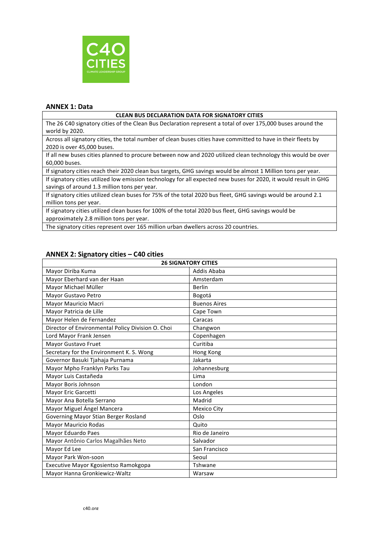

#### **ANNEX 1: Data**

#### **CLEAN BUS DECLARATION DATA FOR SIGNATORY CITIES**

The 26 C40 signatory cities of the Clean Bus Declaration represent a total of over 175,000 buses around the world by 2020.

Across all signatory cities, the total number of clean buses cities have committed to have in their fleets by 2020 is over 45,000 buses.

If all new buses cities planned to procure between now and 2020 utilized clean technology this would be over 60,000 buses.

If signatory cities reach their 2020 clean bus targets, GHG savings would be almost 1 Million tons per year.

If signatory cities utilized low emission technology for all expected new buses for 2020, it would result in GHG savings of around 1.3 million tons per year.

If signatory cities utilized clean buses for 75% of the total 2020 bus fleet, GHG savings would be around 2.1 million tons per year.

If signatory cities utilized clean buses for 100% of the total 2020 bus fleet, GHG savings would be approximately 2.8 million tons per year.

The signatory cities represent over 165 million urban dwellers across 20 countries.

| $\sim$                                            |                     |  |
|---------------------------------------------------|---------------------|--|
| <b>26 SIGNATORY CITIES</b>                        |                     |  |
| Mayor Diriba Kuma                                 | Addis Ababa         |  |
| Mayor Eberhard van der Haan                       | Amsterdam           |  |
| Mayor Michael Müller                              | <b>Berlin</b>       |  |
| Mayor Gustavo Petro                               | Bogotá              |  |
| Mayor Mauricio Macri                              | <b>Buenos Aires</b> |  |
| Mayor Patricia de Lille                           | Cape Town           |  |
| Mayor Helen de Fernandez                          | Caracas             |  |
| Director of Environmental Policy Division O. Choi | Changwon            |  |
| Lord Mayor Frank Jensen                           | Copenhagen          |  |
| Mayor Gustavo Fruet                               | Curitiba            |  |
| Secretary for the Environment K. S. Wong          | Hong Kong           |  |
| Governor Basuki Tjahaja Purnama                   | Jakarta             |  |
| Mayor Mpho Franklyn Parks Tau                     | Johannesburg        |  |
| Mayor Luis Castañeda                              | Lima                |  |
| Mayor Boris Johnson                               | London              |  |
| Mayor Eric Garcetti                               | Los Angeles         |  |
| Mayor Ana Botella Serrano                         | Madrid              |  |
| Mayor Miguel Ángel Mancera                        | Mexico City         |  |
| Governing Mayor Stian Berger Rosland              | Oslo                |  |
| Mayor Mauricio Rodas                              | Quito               |  |
| Mayor Eduardo Paes                                | Rio de Janeiro      |  |
| Mayor Antônio Carlos Magalhães Neto               | Salvador            |  |
| Mayor Ed Lee                                      | San Francisco       |  |
| Mayor Park Won-soon                               | Seoul               |  |
| Executive Mayor Kgosientso Ramokgopa              | Tshwane             |  |
| Mayor Hanna Gronkiewicz-Waltz                     | Warsaw              |  |
|                                                   |                     |  |

### **ANNEX 2: Signatory cities – C40 cities**